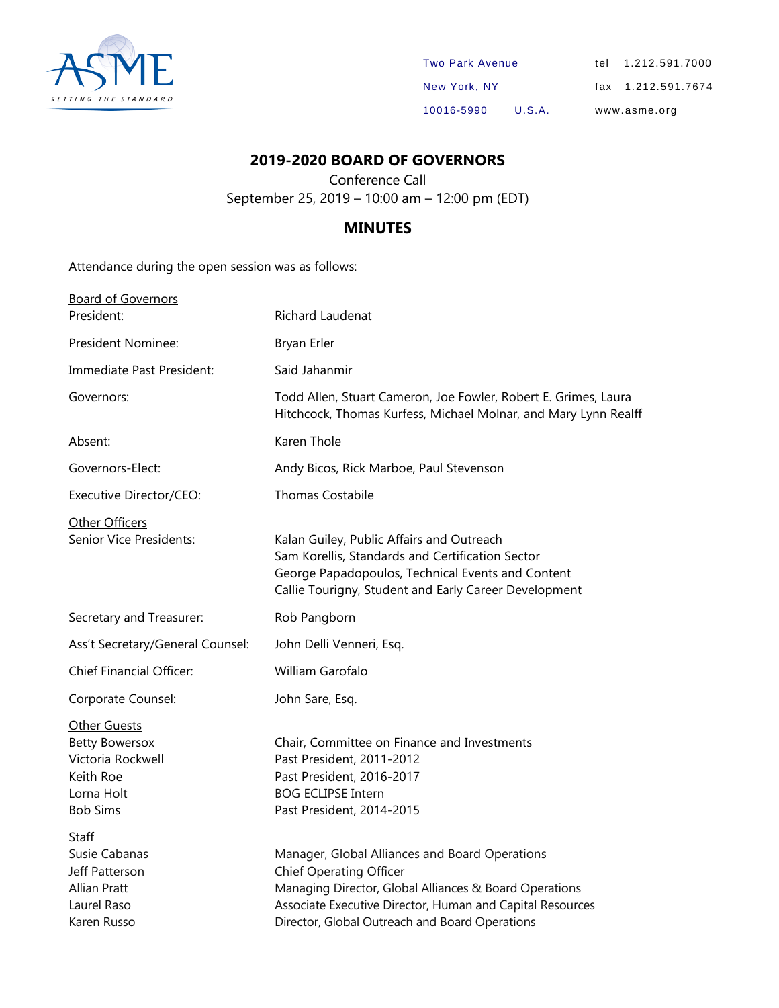

| Two Park Avenue |        |              | tel 1.212.591.7000 |
|-----------------|--------|--------------|--------------------|
| New York, NY    |        |              | fax 1.212.591.7674 |
| 10016-5990      | U.S.A. | www.asme.org |                    |

# **2019-2020 BOARD OF GOVERNORS**

Conference Call September 25, 2019 – 10:00 am – 12:00 pm (EDT)

## **MINUTES**

Attendance during the open session was as follows:

| <b>Board of Governors</b><br>President:                                                                         | Richard Laudenat                                                                                                                                                                                                                                          |  |  |
|-----------------------------------------------------------------------------------------------------------------|-----------------------------------------------------------------------------------------------------------------------------------------------------------------------------------------------------------------------------------------------------------|--|--|
| President Nominee:                                                                                              | Bryan Erler                                                                                                                                                                                                                                               |  |  |
| Immediate Past President:                                                                                       | Said Jahanmir                                                                                                                                                                                                                                             |  |  |
| Governors:                                                                                                      | Todd Allen, Stuart Cameron, Joe Fowler, Robert E. Grimes, Laura<br>Hitchcock, Thomas Kurfess, Michael Molnar, and Mary Lynn Realff                                                                                                                        |  |  |
| Absent:                                                                                                         | Karen Thole                                                                                                                                                                                                                                               |  |  |
| Governors-Elect:                                                                                                | Andy Bicos, Rick Marboe, Paul Stevenson                                                                                                                                                                                                                   |  |  |
| Executive Director/CEO:                                                                                         | <b>Thomas Costabile</b>                                                                                                                                                                                                                                   |  |  |
| Other Officers<br>Senior Vice Presidents:                                                                       | Kalan Guiley, Public Affairs and Outreach<br>Sam Korellis, Standards and Certification Sector<br>George Papadopoulos, Technical Events and Content<br>Callie Tourigny, Student and Early Career Development                                               |  |  |
| Secretary and Treasurer:                                                                                        | Rob Pangborn                                                                                                                                                                                                                                              |  |  |
| Ass't Secretary/General Counsel:                                                                                | John Delli Venneri, Esq.                                                                                                                                                                                                                                  |  |  |
| <b>Chief Financial Officer:</b>                                                                                 | William Garofalo                                                                                                                                                                                                                                          |  |  |
| Corporate Counsel:                                                                                              | John Sare, Esq.                                                                                                                                                                                                                                           |  |  |
| <b>Other Guests</b><br><b>Betty Bowersox</b><br>Victoria Rockwell<br>Keith Roe<br>Lorna Holt<br><b>Bob Sims</b> | Chair, Committee on Finance and Investments<br>Past President, 2011-2012<br>Past President, 2016-2017<br><b>BOG ECLIPSE Intern</b><br>Past President, 2014-2015                                                                                           |  |  |
| Staff<br>Susie Cabanas<br>Jeff Patterson<br><b>Allian Pratt</b><br>Laurel Raso<br>Karen Russo                   | Manager, Global Alliances and Board Operations<br><b>Chief Operating Officer</b><br>Managing Director, Global Alliances & Board Operations<br>Associate Executive Director, Human and Capital Resources<br>Director, Global Outreach and Board Operations |  |  |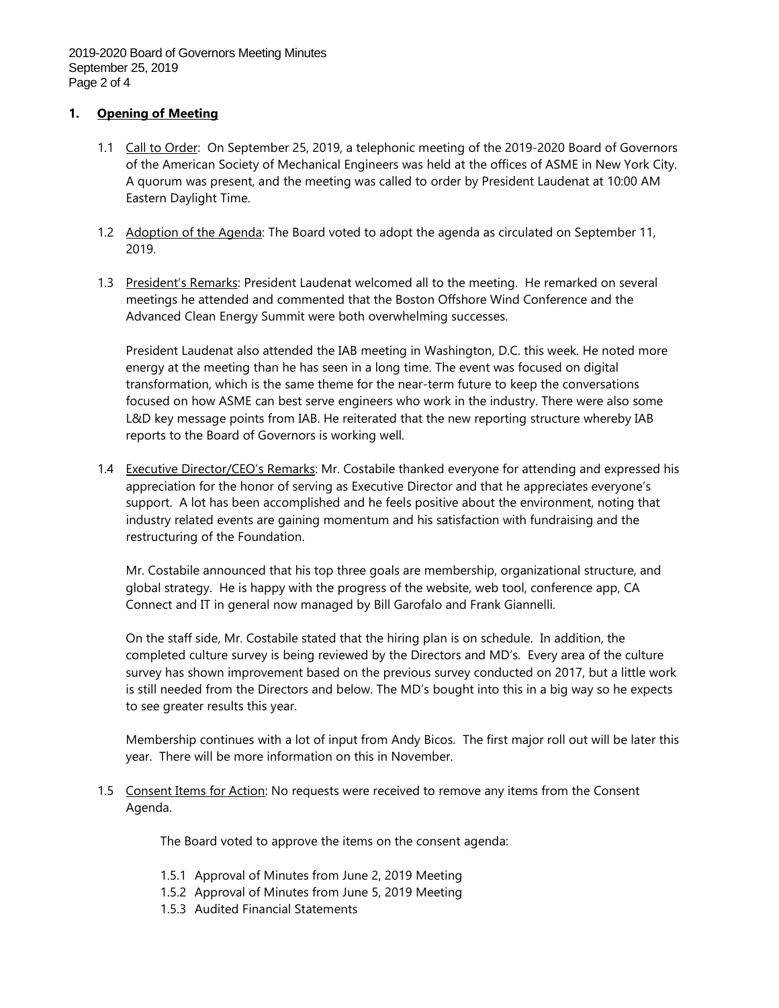2019-2020 Board of Governors Meeting Minutes September 25, 2019 Page 2 of 4

## **1. Opening of Meeting**

- 1.1 Call to Order: On September 25, 2019, a telephonic meeting of the 2019-2020 Board of Governors of the American Society of Mechanical Engineers was held at the offices of ASME in New York City. A quorum was present, and the meeting was called to order by President Laudenat at 10:00 AM Eastern Daylight Time.
- 1.2 Adoption of the Agenda: The Board voted to adopt the agenda as circulated on September 11, 2019.
- 1.3 President's Remarks: President Laudenat welcomed all to the meeting. He remarked on several meetings he attended and commented that the Boston Offshore Wind Conference and the Advanced Clean Energy Summit were both overwhelming successes.

President Laudenat also attended the IAB meeting in Washington, D.C. this week. He noted more energy at the meeting than he has seen in a long time. The event was focused on digital transformation, which is the same theme for the near-term future to keep the conversations focused on how ASME can best serve engineers who work in the industry. There were also some L&D key message points from IAB. He reiterated that the new reporting structure whereby IAB reports to the Board of Governors is working well.

1.4 Executive Director/CEO's Remarks: Mr. Costabile thanked everyone for attending and expressed his appreciation for the honor of serving as Executive Director and that he appreciates everyone's support. A lot has been accomplished and he feels positive about the environment, noting that industry related events are gaining momentum and his satisfaction with fundraising and the restructuring of the Foundation.

Mr. Costabile announced that his top three goals are membership, organizational structure, and global strategy. He is happy with the progress of the website, web tool, conference app, CA Connect and IT in general now managed by Bill Garofalo and Frank Giannelli.

On the staff side, Mr. Costabile stated that the hiring plan is on schedule. In addition, the completed culture survey is being reviewed by the Directors and MD's. Every area of the culture survey has shown improvement based on the previous survey conducted on 2017, but a little work is still needed from the Directors and below. The MD's bought into this in a big way so he expects to see greater results this year.

Membership continues with a lot of input from Andy Bicos. The first major roll out will be later this year. There will be more information on this in November.

1.5 Consent Items for Action: No requests were received to remove any items from the Consent Agenda.

The Board voted to approve the items on the consent agenda:

- 1.5.1 Approval of Minutes from June 2, 2019 Meeting
- 1.5.2 Approval of Minutes from June 5, 2019 Meeting
- 1.5.3 Audited Financial Statements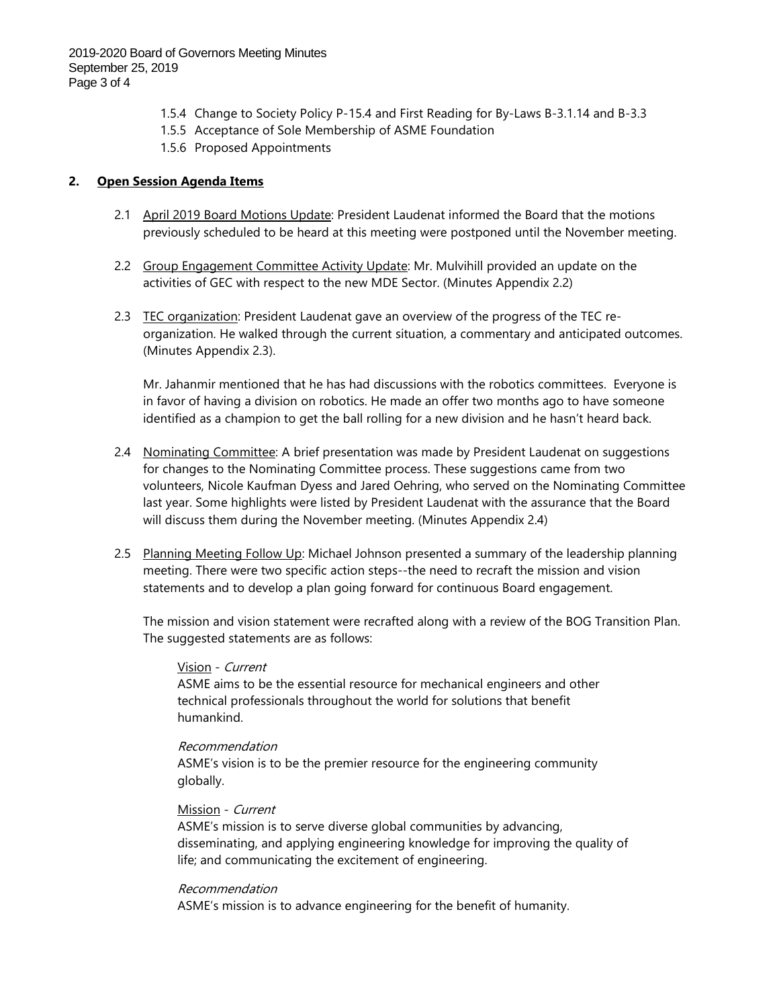- 1.5.4 Change to Society Policy P-15.4 and First Reading for By-Laws B-3.1.14 and B-3.3
- 1.5.5 Acceptance of Sole Membership of ASME Foundation
- 1.5.6 Proposed Appointments

## **2. Open Session Agenda Items**

- 2.1 April 2019 Board Motions Update: President Laudenat informed the Board that the motions previously scheduled to be heard at this meeting were postponed until the November meeting.
- 2.2 Group Engagement Committee Activity Update: Mr. Mulvihill provided an update on the activities of GEC with respect to the new MDE Sector. (Minutes Appendix 2.2)
- 2.3 TEC organization: President Laudenat gave an overview of the progress of the TEC reorganization. He walked through the current situation, a commentary and anticipated outcomes. (Minutes Appendix 2.3).

Mr. Jahanmir mentioned that he has had discussions with the robotics committees. Everyone is in favor of having a division on robotics. He made an offer two months ago to have someone identified as a champion to get the ball rolling for a new division and he hasn't heard back.

- 2.4 Nominating Committee: A brief presentation was made by President Laudenat on suggestions for changes to the Nominating Committee process. These suggestions came from two volunteers, Nicole Kaufman Dyess and Jared Oehring, who served on the Nominating Committee last year. Some highlights were listed by President Laudenat with the assurance that the Board will discuss them during the November meeting. (Minutes Appendix 2.4)
- 2.5 Planning Meeting Follow Up: Michael Johnson presented a summary of the leadership planning meeting. There were two specific action steps--the need to recraft the mission and vision statements and to develop a plan going forward for continuous Board engagement.

The mission and vision statement were recrafted along with a review of the BOG Transition Plan. The suggested statements are as follows:

#### Vision - Current

ASME aims to be the essential resource for mechanical engineers and other technical professionals throughout the world for solutions that benefit humankind.

#### Recommendation

ASME's vision is to be the premier resource for the engineering community globally.

#### Mission - Current

ASME's mission is to serve diverse global communities by advancing, disseminating, and applying engineering knowledge for improving the quality of life; and communicating the excitement of engineering.

#### Recommendation

ASME's mission is to advance engineering for the benefit of humanity.